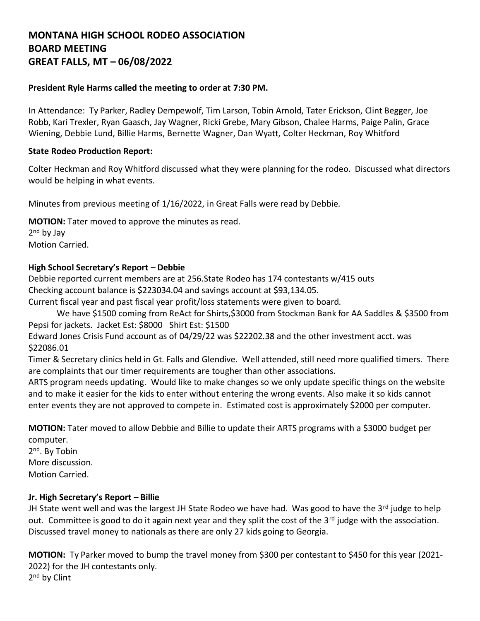# **MONTANA HIGH SCHOOL RODEO ASSOCIATION BOARD MEETING GREAT FALLS, MT – 06/08/2022**

#### **President Ryle Harms called the meeting to order at 7:30 PM.**

In Attendance: Ty Parker, Radley Dempewolf, Tim Larson, Tobin Arnold, Tater Erickson, Clint Begger, Joe Robb, Kari Trexler, Ryan Gaasch, Jay Wagner, Ricki Grebe, Mary Gibson, Chalee Harms, Paige Palin, Grace Wiening, Debbie Lund, Billie Harms, Bernette Wagner, Dan Wyatt, Colter Heckman, Roy Whitford

### **State Rodeo Production Report:**

Colter Heckman and Roy Whitford discussed what they were planning for the rodeo. Discussed what directors would be helping in what events.

Minutes from previous meeting of 1/16/2022, in Great Falls were read by Debbie.

**MOTION:** Tater moved to approve the minutes as read. 2<sup>nd</sup> by Jay Motion Carried.

### **High School Secretary's Report – Debbie**

Debbie reported current members are at 256.State Rodeo has 174 contestants w/415 outs Checking account balance is \$223034.04 and savings account at \$93,134.05.

Current fiscal year and past fiscal year profit/loss statements were given to board.

We have \$1500 coming from ReAct for Shirts,\$3000 from Stockman Bank for AA Saddles & \$3500 from Pepsi for jackets. Jacket Est: \$8000 Shirt Est: \$1500

Edward Jones Crisis Fund account as of 04/29/22 was \$22202.38 and the other investment acct. was \$22086.01

Timer & Secretary clinics held in Gt. Falls and Glendive. Well attended, still need more qualified timers. There are complaints that our timer requirements are tougher than other associations.

ARTS program needs updating. Would like to make changes so we only update specific things on the website and to make it easier for the kids to enter without entering the wrong events. Also make it so kids cannot enter events they are not approved to compete in. Estimated cost is approximately \$2000 per computer.

**MOTION:** Tater moved to allow Debbie and Billie to update their ARTS programs with a \$3000 budget per computer.

2<sup>nd</sup>. By Tobin More discussion. Motion Carried.

# **Jr. High Secretary's Report – Billie**

JH State went well and was the largest JH State Rodeo we have had. Was good to have the 3rd judge to help out. Committee is good to do it again next year and they split the cost of the 3<sup>rd</sup> judge with the association. Discussed travel money to nationals as there are only 27 kids going to Georgia.

**MOTION:** Ty Parker moved to bump the travel money from \$300 per contestant to \$450 for this year (2021- 2022) for the JH contestants only. 2<sup>nd</sup> by Clint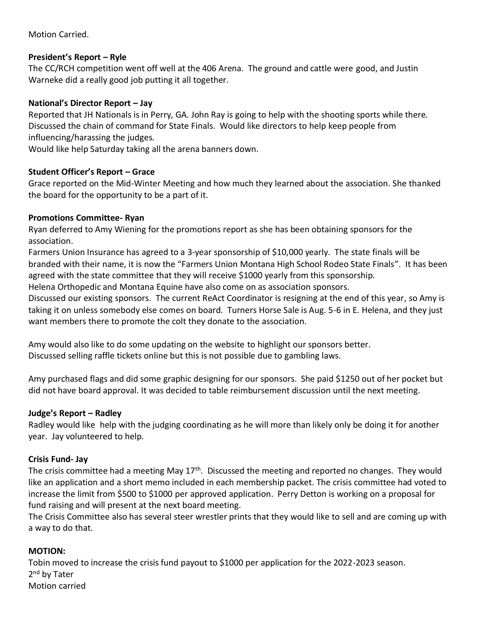# Motion Carried.

# **President's Report – Ryle**

The CC/RCH competition went off well at the 406 Arena. The ground and cattle were good, and Justin Warneke did a really good job putting it all together.

# **National's Director Report – Jay**

Reported that JH Nationals is in Perry, GA. John Ray is going to help with the shooting sports while there. Discussed the chain of command for State Finals. Would like directors to help keep people from influencing/harassing the judges.

Would like help Saturday taking all the arena banners down.

# **Student Officer's Report – Grace**

Grace reported on the Mid-Winter Meeting and how much they learned about the association. She thanked the board for the opportunity to be a part of it.

# **Promotions Committee- Ryan**

Ryan deferred to Amy Wiening for the promotions report as she has been obtaining sponsors for the association.

Farmers Union Insurance has agreed to a 3-year sponsorship of \$10,000 yearly. The state finals will be branded with their name, it is now the "Farmers Union Montana High School Rodeo State Finals". It has been agreed with the state committee that they will receive \$1000 yearly from this sponsorship.

Helena Orthopedic and Montana Equine have also come on as association sponsors.

Discussed our existing sponsors. The current ReAct Coordinator is resigning at the end of this year, so Amy is taking it on unless somebody else comes on board. Turners Horse Sale is Aug. 5-6 in E. Helena, and they just want members there to promote the colt they donate to the association.

Amy would also like to do some updating on the website to highlight our sponsors better. Discussed selling raffle tickets online but this is not possible due to gambling laws.

Amy purchased flags and did some graphic designing for our sponsors. She paid \$1250 out of her pocket but did not have board approval. It was decided to table reimbursement discussion until the next meeting.

# **Judge's Report – Radley**

Radley would like help with the judging coordinating as he will more than likely only be doing it for another year. Jay volunteered to help.

# **Crisis Fund- Jay**

The crisis committee had a meeting May 17<sup>th</sup>. Discussed the meeting and reported no changes. They would like an application and a short memo included in each membership packet. The crisis committee had voted to increase the limit from \$500 to \$1000 per approved application. Perry Detton is working on a proposal for fund raising and will present at the next board meeting.

The Crisis Committee also has several steer wrestler prints that they would like to sell and are coming up with a way to do that.

# **MOTION:**

Tobin moved to increase the crisis fund payout to \$1000 per application for the 2022-2023 season. 2<sup>nd</sup> by Tater Motion carried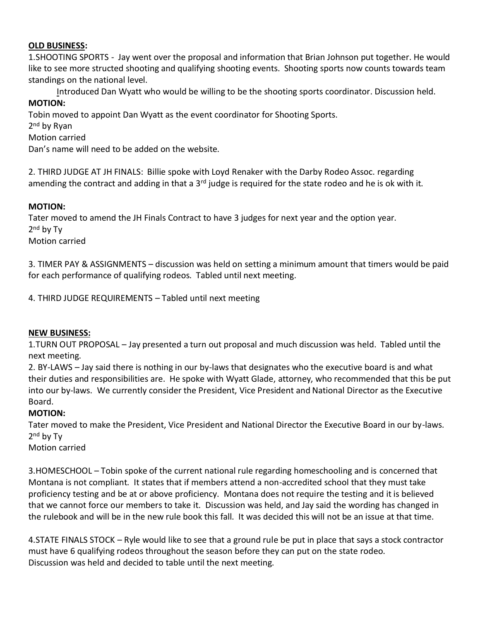#### **OLD BUSINESS:**

1.SHOOTING SPORTS - Jay went over the proposal and information that Brian Johnson put together. He would like to see more structed shooting and qualifying shooting events. Shooting sports now counts towards team standings on the national level.

Introduced Dan Wyatt who would be willing to be the shooting sports coordinator. Discussion held. **MOTION:**

Tobin moved to appoint Dan Wyatt as the event coordinator for Shooting Sports.

2<sup>nd</sup> by Ryan

Motion carried

Dan's name will need to be added on the website.

2. THIRD JUDGE AT JH FINALS: Billie spoke with Loyd Renaker with the Darby Rodeo Assoc. regarding amending the contract and adding in that a  $3^{rd}$  judge is required for the state rodeo and he is ok with it.

# **MOTION:**

Tater moved to amend the JH Finals Contract to have 3 judges for next year and the option year. 2<sup>nd</sup> by Ty

Motion carried

3. TIMER PAY & ASSIGNMENTS – discussion was held on setting a minimum amount that timers would be paid for each performance of qualifying rodeos. Tabled until next meeting.

4. THIRD JUDGE REQUIREMENTS – Tabled until next meeting

#### **NEW BUSINESS:**

1.TURN OUT PROPOSAL – Jay presented a turn out proposal and much discussion was held. Tabled until the next meeting.

2. BY-LAWS – Jay said there is nothing in our by-laws that designates who the executive board is and what their duties and responsibilities are. He spoke with Wyatt Glade, attorney, who recommended that this be put into our by-laws. We currently consider the President, Vice President and National Director as the Executive Board.

# **MOTION:**

Tater moved to make the President, Vice President and National Director the Executive Board in our by-laws. 2<sup>nd</sup> by Ty

Motion carried

3.HOMESCHOOL – Tobin spoke of the current national rule regarding homeschooling and is concerned that Montana is not compliant. It states that if members attend a non-accredited school that they must take proficiency testing and be at or above proficiency. Montana does not require the testing and it is believed that we cannot force our members to take it. Discussion was held, and Jay said the wording has changed in the rulebook and will be in the new rule book this fall. It was decided this will not be an issue at that time.

4.STATE FINALS STOCK – Ryle would like to see that a ground rule be put in place that says a stock contractor must have 6 qualifying rodeos throughout the season before they can put on the state rodeo. Discussion was held and decided to table until the next meeting.